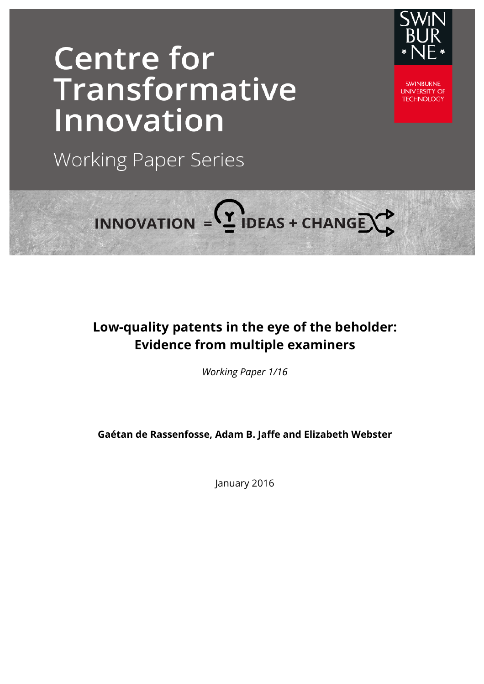# **Centre for Transformative** Innovation



**SWINBLIRNE UNIVERSITY OF TECHNOLOGY** 

**Working Paper Series** 

# INNOVATION =  $2$  IDEAS + CHANGE  $2^2$

# **Low-quality patents in the eye of the beholder: Evidence from multiple examiners**

*Working Paper 1/16*

**Gaétan de Rassenfosse, Adam B. Jaffe and Elizabeth Webster** 

January 2016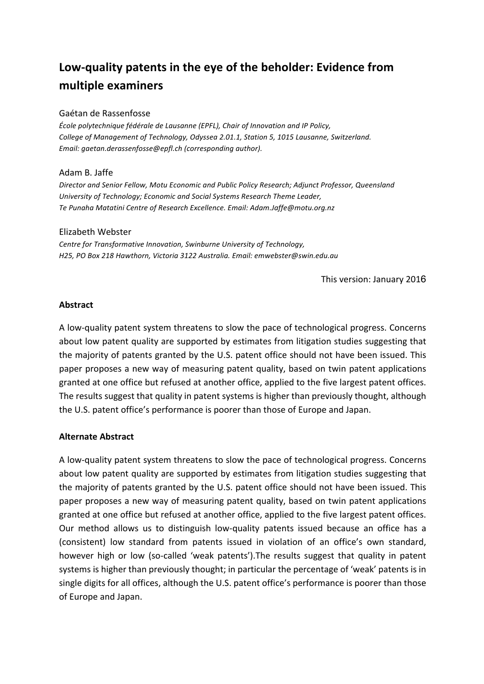# Low-quality patents in the eye of the beholder: Evidence from **multiple examiners**

## Gaétan de Rassenfosse

*École polytechnique fédérale de Lausanne (EPFL), Chair of Innovation and IP Policy,* College of Management of Technology, Odyssea 2.01.1, Station 5, 1015 Lausanne, Switzerland. *Email: gaetan.derassenfosse@epfl.ch (corresponding author).*

# Adam B. Jaffe

Director and Senior Fellow, Motu Economic and Public Policy Research; Adjunct Professor, Queensland University of Technology; Economic and Social Systems Research Theme Leader, Te Punaha Matatini Centre of Research Excellence. Email: Adam.Jaffe@motu.org.nz

### Elizabeth Webster

**Centre for Transformative Innovation, Swinburne University of Technology,** *H25, PO Box 218 Hawthorn, Victoria 3122 Australia. Email: emwebster@swin.edu.au*

This version: January 2016

# **Abstract**

A low-quality patent system threatens to slow the pace of technological progress. Concerns about low patent quality are supported by estimates from litigation studies suggesting that the majority of patents granted by the U.S. patent office should not have been issued. This paper proposes a new way of measuring patent quality, based on twin patent applications granted at one office but refused at another office, applied to the five largest patent offices. The results suggest that quality in patent systems is higher than previously thought, although the U.S. patent office's performance is poorer than those of Europe and Japan.

# **Alternate Abstract**

A low-quality patent system threatens to slow the pace of technological progress. Concerns about low patent quality are supported by estimates from litigation studies suggesting that the majority of patents granted by the U.S. patent office should not have been issued. This paper proposes a new way of measuring patent quality, based on twin patent applications granted at one office but refused at another office, applied to the five largest patent offices. Our method allows us to distinguish low-quality patents issued because an office has a (consistent) low standard from patents issued in violation of an office's own standard, however high or low (so-called 'weak patents').The results suggest that quality in patent systems is higher than previously thought; in particular the percentage of 'weak' patents is in single digits for all offices, although the U.S. patent office's performance is poorer than those of Europe and Japan.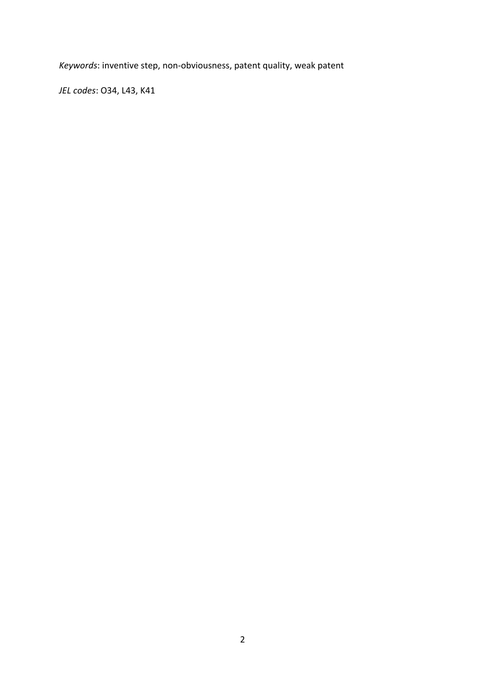*Keywords*: inventive step, non-obviousness, patent quality, weak patent

*JEL codes*: O34, L43, K41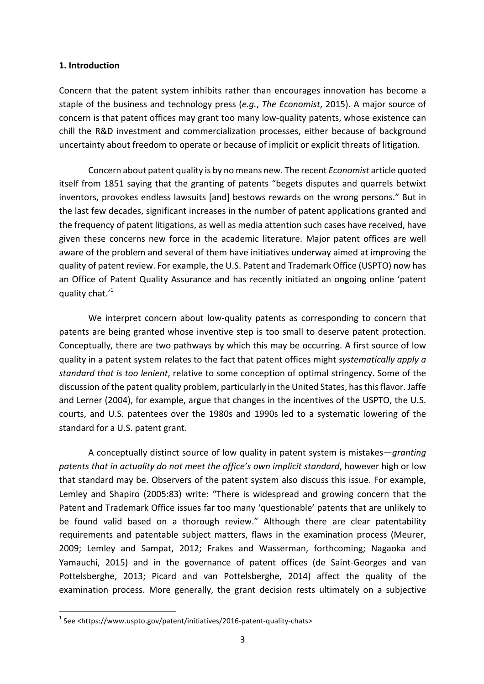#### **1. Introduction**

Concern that the patent system inhibits rather than encourages innovation has become a staple of the business and technology press (*e.g., The Economist*, 2015). A major source of concern is that patent offices may grant too many low-quality patents, whose existence can chill the R&D investment and commercialization processes, either because of background uncertainty about freedom to operate or because of implicit or explicit threats of litigation.

Concern about patent quality is by no means new. The recent *Economist* article quoted itself from 1851 saying that the granting of patents "begets disputes and quarrels betwixt inventors, provokes endless lawsuits [and] bestows rewards on the wrong persons." But in the last few decades, significant increases in the number of patent applications granted and the frequency of patent litigations, as well as media attention such cases have received, have given these concerns new force in the academic literature. Major patent offices are well aware of the problem and several of them have initiatives underway aimed at improving the guality of patent review. For example, the U.S. Patent and Trademark Office (USPTO) now has an Office of Patent Quality Assurance and has recently initiated an ongoing online 'patent quality chat.'<sup>1</sup>

We interpret concern about low-quality patents as corresponding to concern that patents are being granted whose inventive step is too small to deserve patent protection. Conceptually, there are two pathways by which this may be occurring. A first source of low quality in a patent system relates to the fact that patent offices might *systematically apply a standard that is too lenient*, relative to some conception of optimal stringency. Some of the discussion of the patent quality problem, particularly in the United States, has this flavor. Jaffe and Lerner (2004), for example, argue that changes in the incentives of the USPTO, the U.S. courts, and U.S. patentees over the 1980s and 1990s led to a systematic lowering of the standard for a U.S. patent grant.

A conceptually distinct source of low quality in patent system is mistakes—*granting* patents that in actuality do not meet the office's own implicit standard, however high or low that standard may be. Observers of the patent system also discuss this issue. For example, Lemley and Shapiro (2005:83) write: "There is widespread and growing concern that the Patent and Trademark Office issues far too many 'questionable' patents that are unlikely to be found valid based on a thorough review." Although there are clear patentability requirements and patentable subject matters, flaws in the examination process (Meurer, 2009; Lemley and Sampat, 2012; Frakes and Wasserman, forthcoming; Nagaoka and Yamauchi, 2015) and in the governance of patent offices (de Saint-Georges and van Pottelsberghe, 2013; Picard and van Pottelsberghe, 2014) affect the quality of the examination process. More generally, the grant decision rests ultimately on a subjective

 $1$  See <https://www.uspto.gov/patent/initiatives/2016-patent-quality-chats>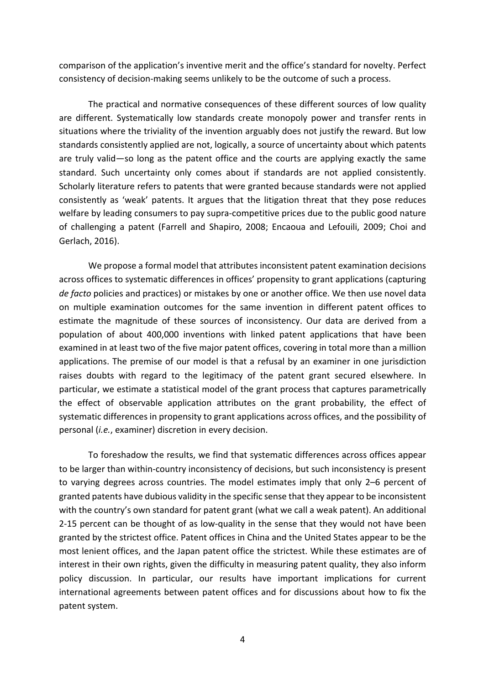comparison of the application's inventive merit and the office's standard for novelty. Perfect consistency of decision-making seems unlikely to be the outcome of such a process.

The practical and normative consequences of these different sources of low quality are different. Systematically low standards create monopoly power and transfer rents in situations where the triviality of the invention arguably does not justify the reward. But low standards consistently applied are not, logically, a source of uncertainty about which patents are truly valid—so long as the patent office and the courts are applying exactly the same standard. Such uncertainty only comes about if standards are not applied consistently. Scholarly literature refers to patents that were granted because standards were not applied consistently as 'weak' patents. It argues that the litigation threat that they pose reduces welfare by leading consumers to pay supra-competitive prices due to the public good nature of challenging a patent (Farrell and Shapiro, 2008; Encaoua and Lefouili, 2009; Choi and Gerlach, 2016).

We propose a formal model that attributes inconsistent patent examination decisions across offices to systematic differences in offices' propensity to grant applications (capturing *de facto* policies and practices) or mistakes by one or another office. We then use novel data on multiple examination outcomes for the same invention in different patent offices to estimate the magnitude of these sources of inconsistency. Our data are derived from a population of about 400,000 inventions with linked patent applications that have been examined in at least two of the five major patent offices, covering in total more than a million applications. The premise of our model is that a refusal by an examiner in one jurisdiction raises doubts with regard to the legitimacy of the patent grant secured elsewhere. In particular, we estimate a statistical model of the grant process that captures parametrically the effect of observable application attributes on the grant probability, the effect of systematic differences in propensity to grant applications across offices, and the possibility of personal (*i.e.*, examiner) discretion in every decision.

To foreshadow the results, we find that systematic differences across offices appear to be larger than within-country inconsistency of decisions, but such inconsistency is present to varying degrees across countries. The model estimates imply that only 2–6 percent of granted patents have dubious validity in the specific sense that they appear to be inconsistent with the country's own standard for patent grant (what we call a weak patent). An additional 2-15 percent can be thought of as low-quality in the sense that they would not have been granted by the strictest office. Patent offices in China and the United States appear to be the most lenient offices, and the Japan patent office the strictest. While these estimates are of interest in their own rights, given the difficulty in measuring patent quality, they also inform policy discussion. In particular, our results have important implications for current international agreements between patent offices and for discussions about how to fix the patent system.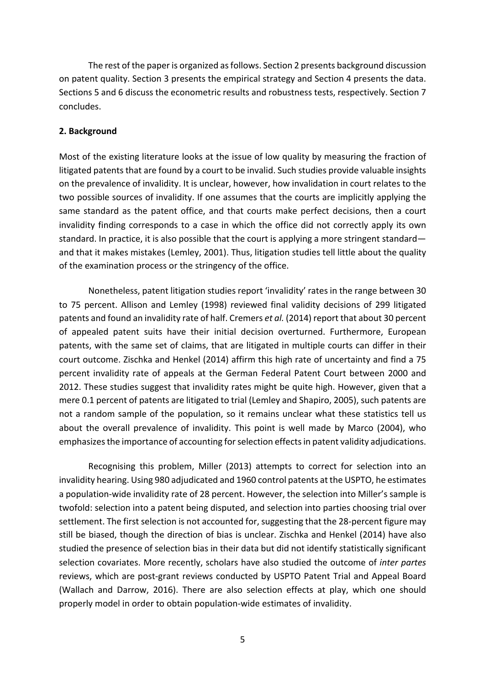The rest of the paper is organized as follows. Section 2 presents background discussion on patent quality. Section 3 presents the empirical strategy and Section 4 presents the data. Sections 5 and 6 discuss the econometric results and robustness tests, respectively. Section 7 concludes.

## **2. Background**

Most of the existing literature looks at the issue of low quality by measuring the fraction of litigated patents that are found by a court to be invalid. Such studies provide valuable insights on the prevalence of invalidity. It is unclear, however, how invalidation in court relates to the two possible sources of invalidity. If one assumes that the courts are implicitly applying the same standard as the patent office, and that courts make perfect decisions, then a court invalidity finding corresponds to a case in which the office did not correctly apply its own standard. In practice, it is also possible that the court is applying a more stringent standard and that it makes mistakes (Lemley, 2001). Thus, litigation studies tell little about the quality of the examination process or the stringency of the office.

Nonetheless, patent litigation studies report 'invalidity' rates in the range between 30 to 75 percent. Allison and Lemley (1998) reviewed final validity decisions of 299 litigated patents and found an invalidity rate of half. Cremers *et al.* (2014) report that about 30 percent of appealed patent suits have their initial decision overturned. Furthermore, European patents, with the same set of claims, that are litigated in multiple courts can differ in their court outcome. Zischka and Henkel (2014) affirm this high rate of uncertainty and find a 75 percent invalidity rate of appeals at the German Federal Patent Court between 2000 and 2012. These studies suggest that invalidity rates might be quite high. However, given that a mere 0.1 percent of patents are litigated to trial (Lemley and Shapiro, 2005), such patents are not a random sample of the population, so it remains unclear what these statistics tell us about the overall prevalence of invalidity. This point is well made by Marco (2004), who emphasizes the importance of accounting for selection effects in patent validity adjudications.

Recognising this problem, Miller (2013) attempts to correct for selection into an invalidity hearing. Using 980 adjudicated and 1960 control patents at the USPTO, he estimates a population-wide invalidity rate of 28 percent. However, the selection into Miller's sample is twofold: selection into a patent being disputed, and selection into parties choosing trial over settlement. The first selection is not accounted for, suggesting that the 28-percent figure may still be biased, though the direction of bias is unclear. Zischka and Henkel (2014) have also studied the presence of selection bias in their data but did not identify statistically significant selection covariates. More recently, scholars have also studied the outcome of *inter partes* reviews, which are post-grant reviews conducted by USPTO Patent Trial and Appeal Board (Wallach and Darrow, 2016). There are also selection effects at play, which one should properly model in order to obtain population-wide estimates of invalidity.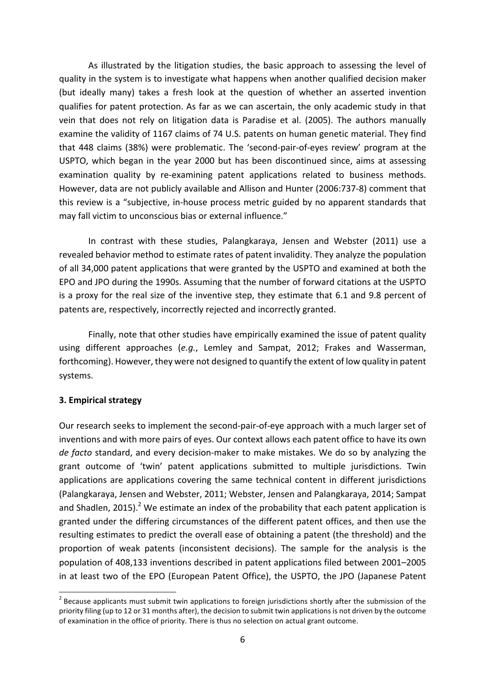As illustrated by the litigation studies, the basic approach to assessing the level of quality in the system is to investigate what happens when another qualified decision maker (but ideally many) takes a fresh look at the question of whether an asserted invention qualifies for patent protection. As far as we can ascertain, the only academic study in that vein that does not rely on litigation data is Paradise et al. (2005). The authors manually examine the validity of 1167 claims of 74 U.S. patents on human genetic material. They find that 448 claims (38%) were problematic. The 'second-pair-of-eyes review' program at the USPTO, which began in the year 2000 but has been discontinued since, aims at assessing examination quality by re-examining patent applications related to business methods. However, data are not publicly available and Allison and Hunter (2006:737-8) comment that this review is a "subjective, in-house process metric guided by no apparent standards that may fall victim to unconscious bias or external influence."

In contrast with these studies, Palangkaraya, Jensen and Webster (2011) use a revealed behavior method to estimate rates of patent invalidity. They analyze the population of all 34,000 patent applications that were granted by the USPTO and examined at both the EPO and JPO during the 1990s. Assuming that the number of forward citations at the USPTO is a proxy for the real size of the inventive step, they estimate that 6.1 and 9.8 percent of patents are, respectively, incorrectly rejected and incorrectly granted.

Finally, note that other studies have empirically examined the issue of patent quality using different approaches (e.g., Lemley and Sampat, 2012; Frakes and Wasserman, forthcoming). However, they were not designed to quantify the extent of low quality in patent systems.

# **3. Empirical strategy**

Our research seeks to implement the second-pair-of-eye approach with a much larger set of inventions and with more pairs of eyes. Our context allows each patent office to have its own de facto standard, and every decision-maker to make mistakes. We do so by analyzing the grant outcome of 'twin' patent applications submitted to multiple jurisdictions. Twin applications are applications covering the same technical content in different jurisdictions (Palangkaraya, Jensen and Webster, 2011; Webster, Jensen and Palangkaraya, 2014; Sampat and Shadlen, 2015).<sup>2</sup> We estimate an index of the probability that each patent application is granted under the differing circumstances of the different patent offices, and then use the resulting estimates to predict the overall ease of obtaining a patent (the threshold) and the proportion of weak patents (inconsistent decisions). The sample for the analysis is the population of 408,133 inventions described in patent applications filed between 2001–2005 in at least two of the EPO (European Patent Office), the USPTO, the JPO (Japanese Patent

 $2^2$  Because applicants must submit twin applications to foreign jurisdictions shortly after the submission of the priority filing (up to 12 or 31 months after), the decision to submit twin applications is not driven by the outcome of examination in the office of priority. There is thus no selection on actual grant outcome.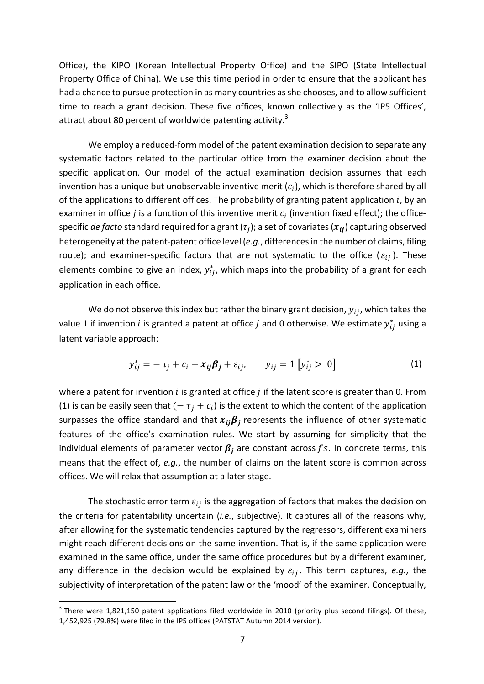Office), the KIPO (Korean Intellectual Property Office) and the SIPO (State Intellectual Property Office of China). We use this time period in order to ensure that the applicant has had a chance to pursue protection in as many countries as she chooses, and to allow sufficient time to reach a grant decision. These five offices, known collectively as the 'IP5 Offices', attract about 80 percent of worldwide patenting activity.<sup>3</sup>

We employ a reduced-form model of the patent examination decision to separate any systematic factors related to the particular office from the examiner decision about the specific application. Our model of the actual examination decision assumes that each invention has a unique but unobservable inventive merit  $(c_i)$ , which is therefore shared by all of the applications to different offices. The probability of granting patent application  $i$ , by an examiner in office *j* is a function of this inventive merit  $c_i$  (invention fixed effect); the officespecific *de facto* standard required for a grant  $(\tau_i)$ ; a set of covariates  $(x_{ii})$  capturing observed heterogeneity at the patent-patent office level (e.g., differences in the number of claims, filing route); and examiner-specific factors that are not systematic to the office ( $\varepsilon_{ii}$ ). These elements combine to give an index,  $y_{ij}^*$ , which maps into the probability of a grant for each application in each office.

We do not observe this index but rather the binary grant decision,  $y_{ij}$ , which takes the value 1 if invention  $i$  is granted a patent at office  $j$  and 0 otherwise. We estimate  $y_{ij}^*$  using a latent variable approach:

$$
y_{ij}^* = -\tau_j + c_i + x_{ij}\beta_j + \varepsilon_{ij}, \qquad y_{ij} = 1 [y_{ij}^* > 0]
$$
 (1)

where a patent for invention  $i$  is granted at office  $j$  if the latent score is greater than 0. From (1) is can be easily seen that  $(-\tau_i + c_i)$  is the extent to which the content of the application surpasses the office standard and that  $x_{ij}\beta_j$  represents the influence of other systematic features of the office's examination rules. We start by assuming for simplicity that the individual elements of parameter vector  $\beta_i$  are constant across j's. In concrete terms, this means that the effect of, *e.g.*, the number of claims on the latent score is common across offices. We will relax that assumption at a later stage.

The stochastic error term  $\varepsilon_{ij}$  is the aggregation of factors that makes the decision on the criteria for patentability uncertain (*i.e.*, subjective). It captures all of the reasons why, after allowing for the systematic tendencies captured by the regressors, different examiners might reach different decisions on the same invention. That is, if the same application were examined in the same office, under the same office procedures but by a different examiner, any difference in the decision would be explained by  $\varepsilon_{ij}$ . This term captures, *e.g.*, the subjectivity of interpretation of the patent law or the 'mood' of the examiner. Conceptually,

 $3$  There were 1,821,150 patent applications filed worldwide in 2010 (priority plus second filings). Of these, 1,452,925 (79.8%) were filed in the IP5 offices (PATSTAT Autumn 2014 version).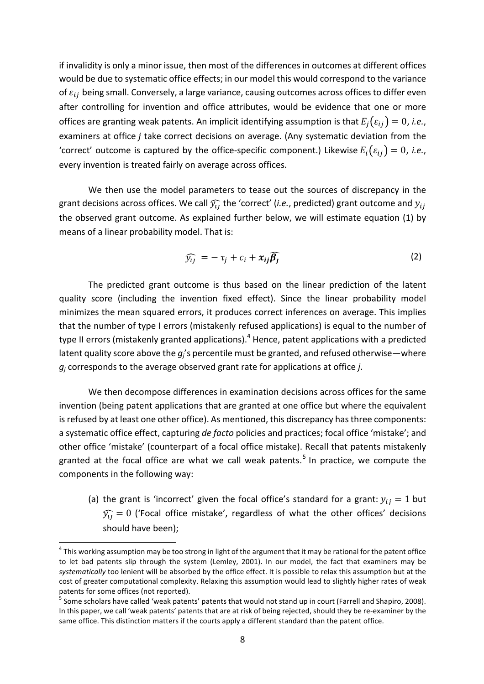if invalidity is only a minor issue, then most of the differences in outcomes at different offices would be due to systematic office effects; in our model this would correspond to the variance of  $\varepsilon_{ii}$  being small. Conversely, a large variance, causing outcomes across offices to differ even after controlling for invention and office attributes, would be evidence that one or more offices are granting weak patents. An implicit identifying assumption is that  $E_i(\varepsilon_{ii}) = 0$ , *i.e.*, examiners at office  $j$  take correct decisions on average. (Any systematic deviation from the 'correct' outcome is captured by the office-specific component.) Likewise  $E_i(\varepsilon_{ii}) = 0$ , *i.e.*, every invention is treated fairly on average across offices.

We then use the model parameters to tease out the sources of discrepancy in the grant decisions across offices. We call  $\widehat{y}_{ij}$  the 'correct' (*i.e.*, predicted) grant outcome and  $y_{ij}$ the observed grant outcome. As explained further below, we will estimate equation (1) by means of a linear probability model. That is:

$$
\widehat{y_{ij}} = -\tau_j + c_i + x_{ij}\widehat{\beta_j}
$$
 (2)

The predicted grant outcome is thus based on the linear prediction of the latent quality score (including the invention fixed effect). Since the linear probability model minimizes the mean squared errors, it produces correct inferences on average. This implies that the number of type I errors (mistakenly refused applications) is equal to the number of type II errors (mistakenly granted applications).<sup>4</sup> Hence, patent applications with a predicted latent quality score above the  $g_i$ 's percentile must be granted, and refused otherwise—where  $g_j$  corresponds to the average observed grant rate for applications at office  $j$ .

We then decompose differences in examination decisions across offices for the same invention (being patent applications that are granted at one office but where the equivalent is refused by at least one other office). As mentioned, this discrepancy has three components: a systematic office effect, capturing *de facto* policies and practices; focal office 'mistake'; and other office 'mistake' (counterpart of a focal office mistake). Recall that patents mistakenly granted at the focal office are what we call weak patents.<sup>5</sup> In practice, we compute the components in the following way:

(a) the grant is 'incorrect' given the focal office's standard for a grant:  $y_{ij} = 1$  but  $\widehat{y}_{ij} = 0$  ('Focal office mistake', regardless of what the other offices' decisions should have been);

 $4$  This working assumption may be too strong in light of the argument that it may be rational for the patent office to let bad patents slip through the system (Lemley, 2001). In our model, the fact that examiners may be systematically too lenient will be absorbed by the office effect. It is possible to relax this assumption but at the cost of greater computational complexity. Relaxing this assumption would lead to slightly higher rates of weak patents for some offices (not reported).

 $<sup>5</sup>$  Some scholars have called 'weak patents' patents that would not stand up in court (Farrell and Shapiro, 2008).</sup> In this paper, we call 'weak patents' patents that are at risk of being rejected, should they be re-examiner by the same office. This distinction matters if the courts apply a different standard than the patent office.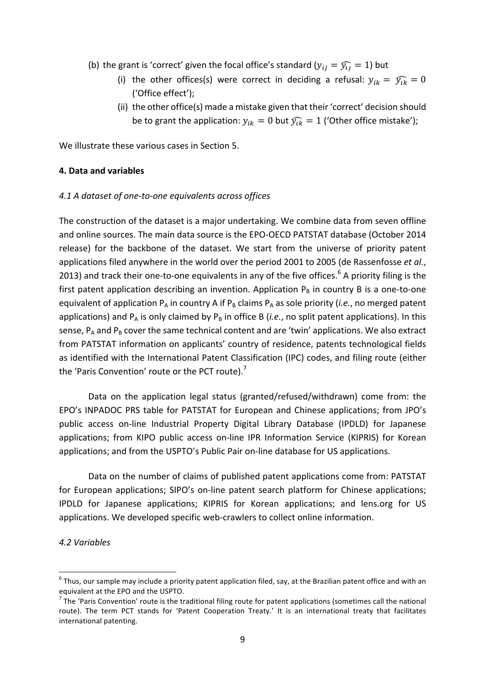- (b) the grant is 'correct' given the focal office's standard  $(y_{ii} = \widehat{y}_{ii} = 1)$  but
	- (i) the other offices(s) were correct in deciding a refusal:  $y_{ik} = \hat{y}_{ik} = 0$ ('Office effect');
	- (ii) the other office(s) made a mistake given that their 'correct' decision should be to grant the application:  $y_{ik} = 0$  but  $\widehat{y_{ik}} = 1$  ('Other office mistake');

We illustrate these various cases in Section 5.

#### **4. Data and variables**

#### *4.1 A dataset of one-to-one equivalents across offices*

The construction of the dataset is a major undertaking. We combine data from seven offline and online sources. The main data source is the EPO-OECD PATSTAT database (October 2014 release) for the backbone of the dataset. We start from the universe of priority patent applications filed anywhere in the world over the period 2001 to 2005 (de Rassenfosse et al., 2013) and track their one-to-one equivalents in any of the five offices.<sup>6</sup> A priority filing is the first patent application describing an invention. Application  $P_B$  in country B is a one-to-one equivalent of application  $P_A$  in country A if  $P_B$  claims  $P_A$  as sole priority (*i.e.*, no merged patent applications) and  $P_A$  is only claimed by  $P_B$  in office B (*i.e.*, no split patent applications). In this sense,  $P_A$  and  $P_B$  cover the same technical content and are 'twin' applications. We also extract from PATSTAT information on applicants' country of residence, patents technological fields as identified with the International Patent Classification (IPC) codes, and filing route (either the 'Paris Convention' route or the PCT route).<sup>7</sup>

Data on the application legal status (granted/refused/withdrawn) come from: the EPO's INPADOC PRS table for PATSTAT for European and Chinese applications; from JPO's public access on-line Industrial Property Digital Library Database (IPDLD) for Japanese applications; from KIPO public access on-line IPR Information Service (KIPRIS) for Korean applications; and from the USPTO's Public Pair on-line database for US applications.

Data on the number of claims of published patent applications come from: PATSTAT for European applications; SIPO's on-line patent search platform for Chinese applications; IPDLD for Japanese applications; KIPRIS for Korean applications; and lens.org for US applications. We developed specific web-crawlers to collect online information.

#### *4.2 Variables*

 $6$  Thus, our sample may include a priority patent application filed, say, at the Brazilian patent office and with an equivalent at the EPO and the USPTO.

 $<sup>7</sup>$  The 'Paris Convention' route is the traditional filing route for patent applications (sometimes call the national</sup> route). The term PCT stands for 'Patent Cooperation Treaty.' It is an international treaty that facilitates international patenting.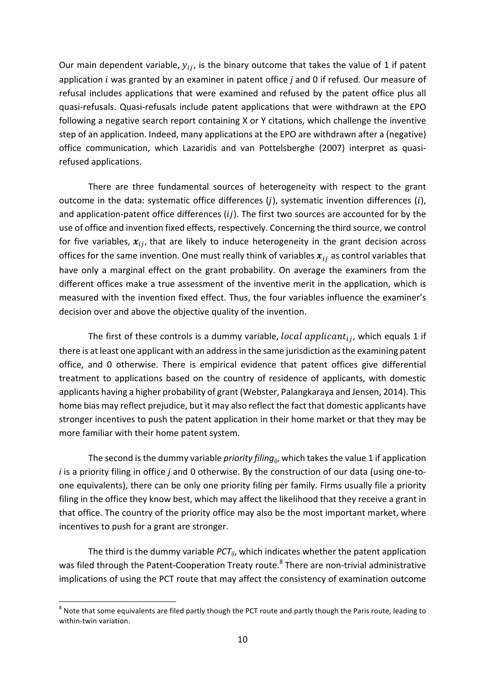Our main dependent variable,  $y_{ij}$ , is the binary outcome that takes the value of 1 if patent application *i* was granted by an examiner in patent office *j* and 0 if refused. Our measure of refusal includes applications that were examined and refused by the patent office plus all quasi-refusals. Quasi-refusals include patent applications that were withdrawn at the EPO following a negative search report containing X or Y citations, which challenge the inventive step of an application. Indeed, many applications at the EPO are withdrawn after a (negative) office communication, which Lazaridis and van Pottelsberghe (2007) interpret as quasirefused applications.

There are three fundamental sources of heterogeneity with respect to the grant outcome in the data: systematic office differences  $(i)$ , systematic invention differences  $(i)$ , and application-patent office differences  $(ii)$ . The first two sources are accounted for by the use of office and invention fixed effects, respectively. Concerning the third source, we control for five variables,  $x_{ij}$ , that are likely to induce heterogeneity in the grant decision across offices for the same invention. One must really think of variables  $x_{ij}$  as control variables that have only a marginal effect on the grant probability. On average the examiners from the different offices make a true assessment of the inventive merit in the application, which is measured with the invention fixed effect. Thus, the four variables influence the examiner's decision over and above the objective quality of the invention.

The first of these controls is a dummy variable, local applicant<sub>ii</sub>, which equals 1 if there is at least one applicant with an address in the same jurisdiction as the examining patent office, and 0 otherwise. There is empirical evidence that patent offices give differential treatment to applications based on the country of residence of applicants, with domestic applicants having a higher probability of grant (Webster, Palangkaraya and Jensen, 2014). This home bias may reflect prejudice, but it may also reflect the fact that domestic applicants have stronger incentives to push the patent application in their home market or that they may be more familiar with their home patent system.

The second is the dummy variable *priority filing<sub>ii</sub>*, which takes the value 1 if application *i* is a priority filing in office *j* and 0 otherwise. By the construction of our data (using one-toone equivalents), there can be only one priority filing per family. Firms usually file a priority filing in the office they know best, which may affect the likelihood that they receive a grant in that office. The country of the priority office may also be the most important market, where incentives to push for a grant are stronger.

The third is the dummy variable  $PCT_{ij}$ , which indicates whether the patent application was filed through the Patent-Cooperation Treaty route.<sup>8</sup> There are non-trivial administrative implications of using the PCT route that may affect the consistency of examination outcome

 $8$  Note that some equivalents are filed partly though the PCT route and partly though the Paris route, leading to within-twin variation.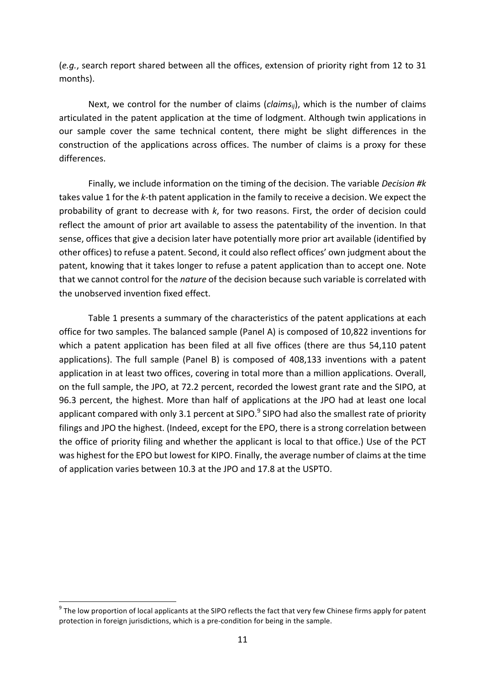(e.g., search report shared between all the offices, extension of priority right from 12 to 31 months).

Next, we control for the number of claims (*claims<sub>ii</sub>*), which is the number of claims articulated in the patent application at the time of lodgment. Although twin applications in our sample cover the same technical content, there might be slight differences in the construction of the applications across offices. The number of claims is a proxy for these differences.

Finally, we include information on the timing of the decision. The variable *Decision* #k takes value 1 for the k-th patent application in the family to receive a decision. We expect the probability of grant to decrease with  $k$ , for two reasons. First, the order of decision could reflect the amount of prior art available to assess the patentability of the invention. In that sense, offices that give a decision later have potentially more prior art available (identified by other offices) to refuse a patent. Second, it could also reflect offices' own judgment about the patent, knowing that it takes longer to refuse a patent application than to accept one. Note that we cannot control for the *nature* of the decision because such variable is correlated with the unobserved invention fixed effect.

Table 1 presents a summary of the characteristics of the patent applications at each office for two samples. The balanced sample (Panel A) is composed of 10,822 inventions for which a patent application has been filed at all five offices (there are thus 54,110 patent applications). The full sample (Panel B) is composed of 408,133 inventions with a patent application in at least two offices, covering in total more than a million applications. Overall, on the full sample, the JPO, at 72.2 percent, recorded the lowest grant rate and the SIPO, at 96.3 percent, the highest. More than half of applications at the JPO had at least one local applicant compared with only 3.1 percent at SIPO.<sup>9</sup> SIPO had also the smallest rate of priority filings and JPO the highest. (Indeed, except for the EPO, there is a strong correlation between the office of priority filing and whether the applicant is local to that office.) Use of the PCT was highest for the EPO but lowest for KIPO. Finally, the average number of claims at the time of application varies between 10.3 at the JPO and 17.8 at the USPTO.

 $9$  The low proportion of local applicants at the SIPO reflects the fact that very few Chinese firms apply for patent protection in foreign jurisdictions, which is a pre-condition for being in the sample.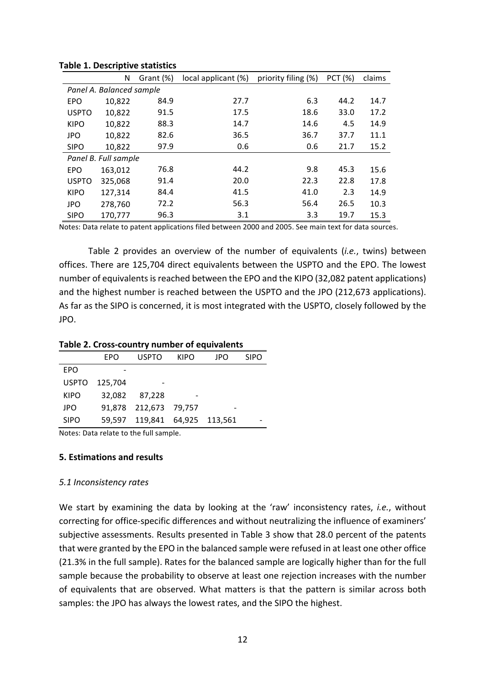|                      | N                        | Grant (%) | local applicant (%) | priority filing (%) | <b>PCT (%)</b> | claims |
|----------------------|--------------------------|-----------|---------------------|---------------------|----------------|--------|
|                      | Panel A. Balanced sample |           |                     |                     |                |        |
| <b>EPO</b>           | 10,822                   | 84.9      | 27.7                | 6.3                 | 44.2           | 14.7   |
| <b>USPTO</b>         | 10,822                   | 91.5      | 17.5                | 18.6                | 33.0           | 17.2   |
| <b>KIPO</b>          | 10,822                   | 88.3      | 14.7                | 14.6                | 4.5            | 14.9   |
| <b>JPO</b>           | 10,822                   | 82.6      | 36.5                | 36.7                | 37.7           | 11.1   |
| <b>SIPO</b>          | 10,822                   | 97.9      | 0.6                 | 0.6                 | 21.7           | 15.2   |
| Panel B. Full sample |                          |           |                     |                     |                |        |
| <b>EPO</b>           | 163,012                  | 76.8      | 44.2                | 9.8                 | 45.3           | 15.6   |
| <b>USPTO</b>         | 325,068                  | 91.4      | 20.0                | 22.3                | 22.8           | 17.8   |
| <b>KIPO</b>          | 127,314                  | 84.4      | 41.5                | 41.0                | 2.3            | 14.9   |
| <b>JPO</b>           | 278,760                  | 72.2      | 56.3                | 56.4                | 26.5           | 10.3   |
| <b>SIPO</b>          | 170,777                  | 96.3      | 3.1                 | 3.3                 | 19.7           | 15.3   |

#### **Table 1. Descriptive statistics**

Notes: Data relate to patent applications filed between 2000 and 2005. See main text for data sources.

Table 2 provides an overview of the number of equivalents (*i.e.*, twins) between offices. There are 125,704 direct equivalents between the USPTO and the EPO. The lowest number of equivalents is reached between the EPO and the KIPO (32,082 patent applications) and the highest number is reached between the USPTO and the JPO (212,673 applications). As far as the SIPO is concerned, it is most integrated with the USPTO, closely followed by the JPO.

#### Table 2. Cross-country number of equivalents

|              | <b>FPO</b> | USPTO                         | <b>KIPO</b> | JPO | <b>SIPO</b> |
|--------------|------------|-------------------------------|-------------|-----|-------------|
| EPO          |            |                               |             |     |             |
| <b>USPTO</b> | 125,704    |                               |             |     |             |
| <b>KIPO</b>  | 32,082     | 87,228                        |             |     |             |
| JPO          |            | 91,878 212,673 79,757         |             |     |             |
| <b>SIPO</b>  |            | 59,597 119,841 64,925 113,561 |             |     |             |

Notes: Data relate to the full sample.

# **5. Estimations and results**

#### *5.1 Inconsistency rates*

We start by examining the data by looking at the 'raw' inconsistency rates, *i.e.*, without correcting for office-specific differences and without neutralizing the influence of examiners' subjective assessments. Results presented in Table 3 show that 28.0 percent of the patents that were granted by the EPO in the balanced sample were refused in at least one other office (21.3% in the full sample). Rates for the balanced sample are logically higher than for the full sample because the probability to observe at least one rejection increases with the number of equivalents that are observed. What matters is that the pattern is similar across both samples: the JPO has always the lowest rates, and the SIPO the highest.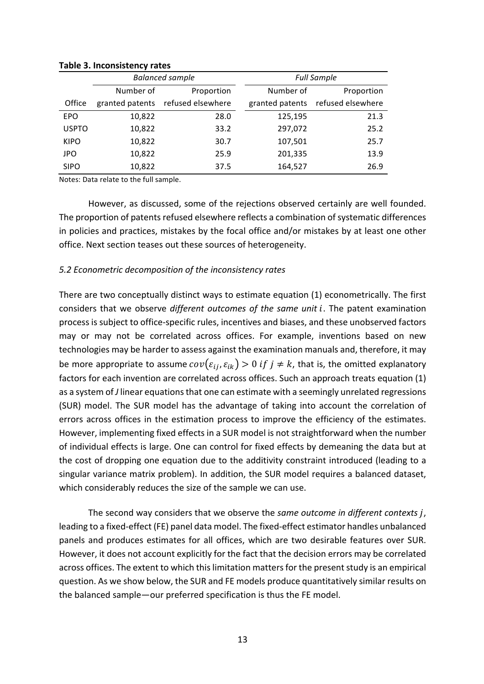|              |                 | <b>Balanced sample</b> | <b>Full Sample</b> |                   |  |
|--------------|-----------------|------------------------|--------------------|-------------------|--|
|              | Number of       | Proportion             | Number of          | Proportion        |  |
| Office       | granted patents | refused elsewhere      | granted patents    | refused elsewhere |  |
| <b>EPO</b>   | 10,822          | 28.0                   | 125,195            | 21.3              |  |
| <b>USPTO</b> | 10,822          | 33.2                   | 297,072            | 25.2              |  |
| <b>KIPO</b>  | 10,822          | 30.7                   | 107,501            | 25.7              |  |
| <b>JPO</b>   | 10,822          | 25.9                   | 201,335            | 13.9              |  |
| <b>SIPO</b>  | 10,822          | 37.5                   | 164,527            | 26.9              |  |

**Table 3. Inconsistency rates**

Notes: Data relate to the full sample.

However, as discussed, some of the rejections observed certainly are well founded. The proportion of patents refused elsewhere reflects a combination of systematic differences in policies and practices, mistakes by the focal office and/or mistakes by at least one other office. Next section teases out these sources of heterogeneity.

#### *5.2 Econometric decomposition of the inconsistency rates*

There are two conceptually distinct ways to estimate equation  $(1)$  econometrically. The first considers that we observe *different outcomes of the same unit i*. The patent examination process is subject to office-specific rules, incentives and biases, and these unobserved factors may or may not be correlated across offices. For example, inventions based on new technologies may be harder to assess against the examination manuals and, therefore, it may be more appropriate to assume  $cov(\varepsilon_{ij}, \varepsilon_{ik}) > 0$  if  $j \neq k$ , that is, the omitted explanatory factors for each invention are correlated across offices. Such an approach treats equation (1) as a system of *J* linear equations that one can estimate with a seemingly unrelated regressions (SUR) model. The SUR model has the advantage of taking into account the correlation of errors across offices in the estimation process to improve the efficiency of the estimates. However, implementing fixed effects in a SUR model is not straightforward when the number of individual effects is large. One can control for fixed effects by demeaning the data but at the cost of dropping one equation due to the additivity constraint introduced (leading to a singular variance matrix problem). In addition, the SUR model requires a balanced dataset, which considerably reduces the size of the sample we can use.

The second way considers that we observe the *same outcome in different contexts i*, leading to a fixed-effect (FE) panel data model. The fixed-effect estimator handles unbalanced panels and produces estimates for all offices, which are two desirable features over SUR. However, it does not account explicitly for the fact that the decision errors may be correlated across offices. The extent to which this limitation matters for the present study is an empirical question. As we show below, the SUR and FE models produce quantitatively similar results on the balanced sample—our preferred specification is thus the FE model.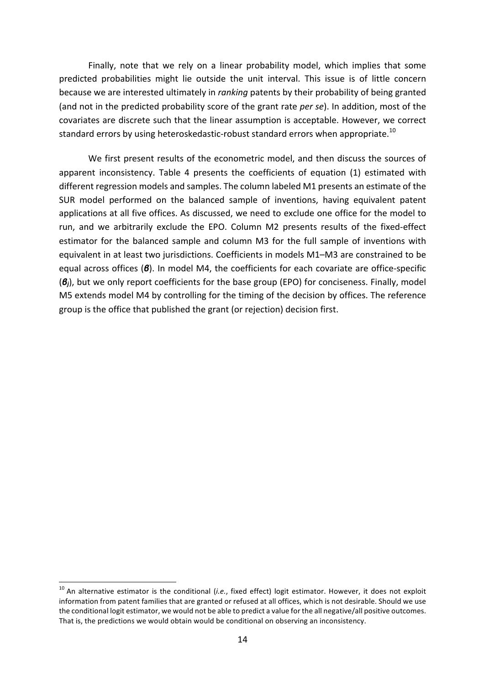Finally, note that we rely on a linear probability model, which implies that some predicted probabilities might lie outside the unit interval. This issue is of little concern because we are interested ultimately in *ranking* patents by their probability of being granted (and not in the predicted probability score of the grant rate *per se*). In addition, most of the covariates are discrete such that the linear assumption is acceptable. However, we correct standard errors by using heteroskedastic-robust standard errors when appropriate.<sup>10</sup>

We first present results of the econometric model, and then discuss the sources of apparent inconsistency. Table 4 presents the coefficients of equation (1) estimated with different regression models and samples. The column labeled M1 presents an estimate of the SUR model performed on the balanced sample of inventions, having equivalent patent applications at all five offices. As discussed, we need to exclude one office for the model to run, and we arbitrarily exclude the EPO. Column M2 presents results of the fixed-effect estimator for the balanced sample and column M3 for the full sample of inventions with equivalent in at least two jurisdictions. Coefficients in models M1–M3 are constrained to be equal across offices (*β*). In model M4, the coefficients for each covariate are office-specific ( $\mathcal{B}_i$ ), but we only report coefficients for the base group (EPO) for conciseness. Finally, model M5 extends model M4 by controlling for the timing of the decision by offices. The reference group is the office that published the grant (or rejection) decision first.

 $10$  An alternative estimator is the conditional (*i.e.*, fixed effect) logit estimator. However, it does not exploit information from patent families that are granted or refused at all offices, which is not desirable. Should we use the conditional logit estimator, we would not be able to predict a value for the all negative/all positive outcomes. That is, the predictions we would obtain would be conditional on observing an inconsistency.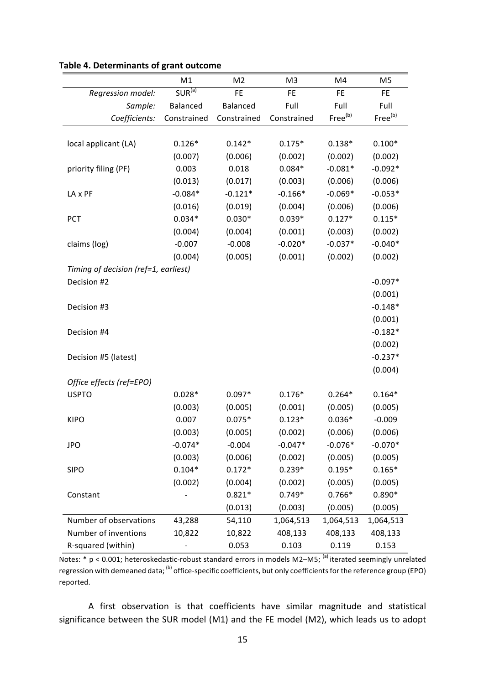|                                      | M1          | M <sub>2</sub> | M <sub>3</sub> | M4                  | M5                  |
|--------------------------------------|-------------|----------------|----------------|---------------------|---------------------|
| Regression model:                    | $SUR^{(a)}$ | <b>FE</b>      | <b>FE</b>      | <b>FE</b>           | <b>FE</b>           |
| Sample:                              | Balanced    | Balanced       | Full           | Full                | Full                |
| Coefficients:                        | Constrained | Constrained    | Constrained    | Free <sup>(b)</sup> | Free <sup>(b)</sup> |
|                                      |             |                |                |                     |                     |
| local applicant (LA)                 | $0.126*$    | $0.142*$       | $0.175*$       | $0.138*$            | $0.100*$            |
|                                      | (0.007)     | (0.006)        | (0.002)        | (0.002)             | (0.002)             |
| priority filing (PF)                 | 0.003       | 0.018          | $0.084*$       | $-0.081*$           | $-0.092*$           |
|                                      | (0.013)     | (0.017)        | (0.003)        | (0.006)             | (0.006)             |
| LA x PF                              | $-0.084*$   | $-0.121*$      | $-0.166*$      | $-0.069*$           | $-0.053*$           |
|                                      | (0.016)     | (0.019)        | (0.004)        | (0.006)             | (0.006)             |
| PCT                                  | $0.034*$    | $0.030*$       | $0.039*$       | $0.127*$            | $0.115*$            |
|                                      | (0.004)     | (0.004)        | (0.001)        | (0.003)             | (0.002)             |
| claims (log)                         | $-0.007$    | $-0.008$       | $-0.020*$      | $-0.037*$           | $-0.040*$           |
|                                      | (0.004)     | (0.005)        | (0.001)        | (0.002)             | (0.002)             |
| Timing of decision (ref=1, earliest) |             |                |                |                     |                     |
| Decision #2                          |             |                |                |                     | $-0.097*$           |
|                                      |             |                |                |                     | (0.001)             |
| Decision #3                          |             |                |                |                     | $-0.148*$           |
|                                      |             |                |                |                     | (0.001)             |
| Decision #4                          |             |                |                |                     | $-0.182*$           |
|                                      |             |                |                |                     | (0.002)             |
| Decision #5 (latest)                 |             |                |                |                     | $-0.237*$           |
|                                      |             |                |                |                     | (0.004)             |
| Office effects (ref=EPO)             |             |                |                |                     |                     |
| <b>USPTO</b>                         | $0.028*$    | $0.097*$       | $0.176*$       | $0.264*$            | $0.164*$            |
|                                      | (0.003)     | (0.005)        | (0.001)        | (0.005)             | (0.005)             |
| <b>KIPO</b>                          | 0.007       | $0.075*$       | $0.123*$       | $0.036*$            | $-0.009$            |
|                                      | (0.003)     | (0.005)        | (0.002)        | (0.006)             | (0.006)             |
| <b>JPO</b>                           | $-0.074*$   | $-0.004$       | $-0.047*$      | $-0.076*$           | $-0.070*$           |
|                                      | (0.003)     | (0.006)        | (0.002)        | (0.005)             | (0.005)             |
| <b>SIPO</b>                          | $0.104*$    | $0.172*$       | $0.239*$       | $0.195*$            | $0.165*$            |
|                                      | (0.002)     | (0.004)        | (0.002)        | (0.005)             | (0.005)             |
| Constant                             |             | $0.821*$       | $0.749*$       | $0.766*$            | $0.890*$            |
|                                      |             | (0.013)        | (0.003)        | (0.005)             | (0.005)             |
| Number of observations               | 43,288      | 54,110         | 1,064,513      | 1,064,513           | 1,064,513           |
| Number of inventions                 | 10,822      | 10,822         | 408,133        | 408,133             | 408,133             |
| R-squared (within)                   |             | 0.053          | 0.103          | 0.119               | 0.153               |

# **Table 4. Determinants of grant outcome**

 $\overline{\text{Notes: }^* p \leq 0.001}$ ; heteroskedastic-robust standard errors in models M2–M5; <sup>(a)</sup> iterated seemingly unrelated regression with demeaned data; (b) office-specific coefficients, but only coefficients for the reference group (EPO) reported.

A first observation is that coefficients have similar magnitude and statistical significance between the SUR model (M1) and the FE model (M2), which leads us to adopt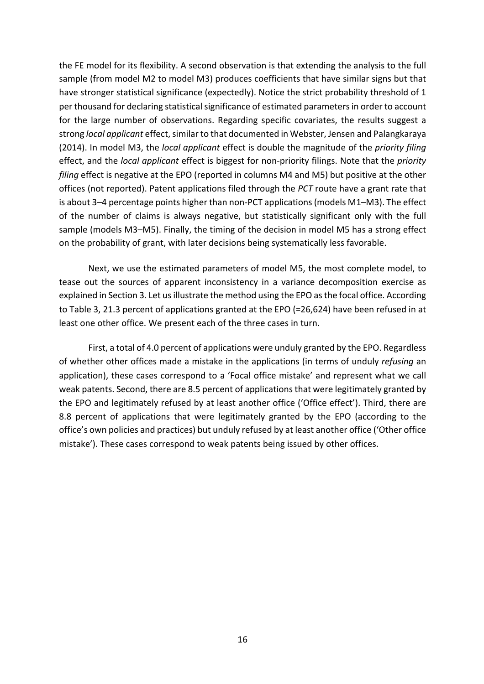the FE model for its flexibility. A second observation is that extending the analysis to the full sample (from model M2 to model M3) produces coefficients that have similar signs but that have stronger statistical significance (expectedly). Notice the strict probability threshold of 1 per thousand for declaring statistical significance of estimated parameters in order to account for the large number of observations. Regarding specific covariates, the results suggest a strong local applicant effect, similar to that documented in Webster, Jensen and Palangkaraya (2014). In model M3, the *local applicant* effect is double the magnitude of the *priority filing* effect, and the *local applicant* effect is biggest for non-priority filings. Note that the *priority filing* effect is negative at the EPO (reported in columns M4 and M5) but positive at the other offices (not reported). Patent applications filed through the *PCT* route have a grant rate that is about  $3-4$  percentage points higher than non-PCT applications (models  $M1-M3$ ). The effect of the number of claims is always negative, but statistically significant only with the full sample (models M3–M5). Finally, the timing of the decision in model M5 has a strong effect on the probability of grant, with later decisions being systematically less favorable.

Next, we use the estimated parameters of model M5, the most complete model, to tease out the sources of apparent inconsistency in a variance decomposition exercise as explained in Section 3. Let us illustrate the method using the EPO as the focal office. According to Table 3, 21.3 percent of applications granted at the EPO (=26,624) have been refused in at least one other office. We present each of the three cases in turn.

First, a total of 4.0 percent of applications were unduly granted by the EPO. Regardless of whether other offices made a mistake in the applications (in terms of unduly *refusing* an application), these cases correspond to a 'Focal office mistake' and represent what we call weak patents. Second, there are 8.5 percent of applications that were legitimately granted by the EPO and legitimately refused by at least another office ('Office effect'). Third, there are 8.8 percent of applications that were legitimately granted by the EPO (according to the office's own policies and practices) but unduly refused by at least another office ('Other office mistake'). These cases correspond to weak patents being issued by other offices.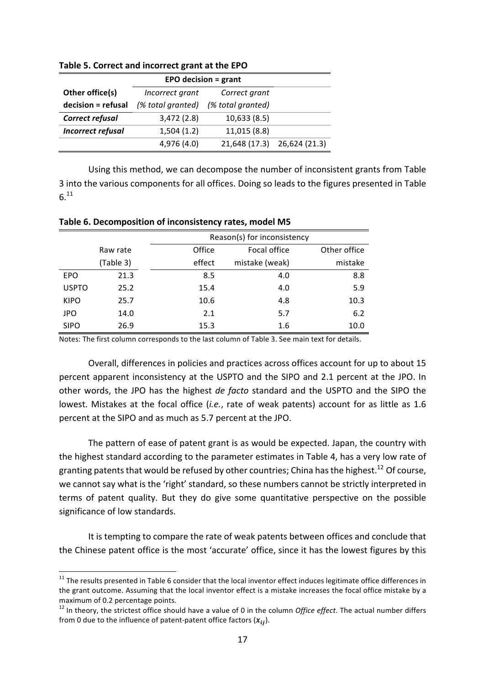| <b>EPO decision = grant</b> |                   |                   |                             |  |  |  |
|-----------------------------|-------------------|-------------------|-----------------------------|--|--|--|
| Other office(s)             | Incorrect grant   | Correct grant     |                             |  |  |  |
| decision = refusal          | (% total granted) | (% total granted) |                             |  |  |  |
| Correct refusal             | 3,472(2.8)        | 10,633(8.5)       |                             |  |  |  |
| <b>Incorrect refusal</b>    | 1,504(1.2)        | 11,015 (8.8)      |                             |  |  |  |
|                             | 4,976 (4.0)       |                   | 21,648 (17.3) 26,624 (21.3) |  |  |  |

**Table 5. Correct and incorrect grant at the EPO** 

Using this method, we can decompose the number of inconsistent grants from Table 3 into the various components for all offices. Doing so leads to the figures presented in Table  $6.$ <sup>11</sup>

|              |      | Reason(s) for inconsistency |                |              |  |  |
|--------------|------|-----------------------------|----------------|--------------|--|--|
| Raw rate     |      | Office                      | Focal office   | Other office |  |  |
| (Table 3)    |      | effect                      | mistake (weak) | mistake      |  |  |
| <b>EPO</b>   | 21.3 | 8.5                         | 4.0            | 8.8          |  |  |
| <b>USPTO</b> | 25.2 | 15.4                        | 4.0            | 5.9          |  |  |
| <b>KIPO</b>  | 25.7 | 10.6                        | 4.8            | 10.3         |  |  |
| <b>JPO</b>   | 14.0 | 2.1                         | 5.7            | 6.2          |  |  |
| <b>SIPO</b>  | 26.9 | 15.3                        | 1.6            | 10.0         |  |  |

Table 6. Decomposition of inconsistency rates, model M5

Notes: The first column corresponds to the last column of Table 3. See main text for details.

Overall, differences in policies and practices across offices account for up to about 15 percent apparent inconsistency at the USPTO and the SIPO and 2.1 percent at the JPO. In other words, the JPO has the highest *de facto* standard and the USPTO and the SIPO the lowest. Mistakes at the focal office (*i.e.*, rate of weak patents) account for as little as 1.6 percent at the SIPO and as much as 5.7 percent at the JPO.

The pattern of ease of patent grant is as would be expected. Japan, the country with the highest standard according to the parameter estimates in Table 4, has a very low rate of granting patents that would be refused by other countries; China has the highest.<sup>12</sup> Of course. we cannot say what is the 'right' standard, so these numbers cannot be strictly interpreted in terms of patent quality. But they do give some quantitative perspective on the possible significance of low standards.

It is tempting to compare the rate of weak patents between offices and conclude that the Chinese patent office is the most 'accurate' office, since it has the lowest figures by this

 $11$  The results presented in Table 6 consider that the local inventor effect induces legitimate office differences in the grant outcome. Assuming that the local inventor effect is a mistake increases the focal office mistake by a maximum of 0.2 percentage points.

 $12$  In theory, the strictest office should have a value of 0 in the column *Office effect*. The actual number differs from 0 due to the influence of patent-patent office factors  $(x_{ii})$ .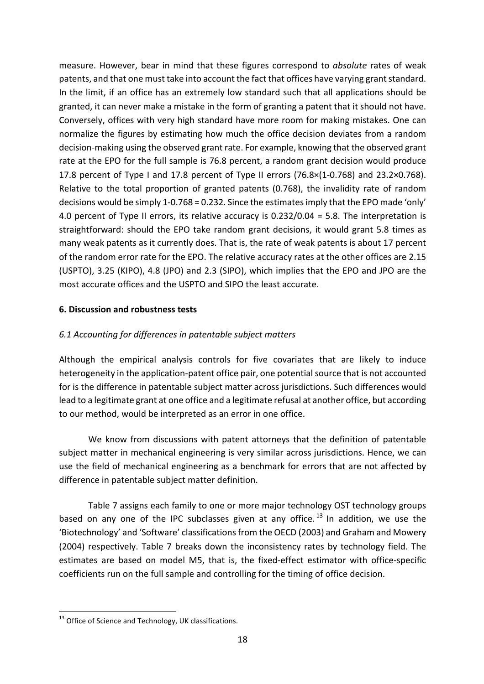measure. However, bear in mind that these figures correspond to *absolute* rates of weak patents, and that one must take into account the fact that offices have varying grant standard. In the limit, if an office has an extremely low standard such that all applications should be granted, it can never make a mistake in the form of granting a patent that it should not have. Conversely, offices with very high standard have more room for making mistakes. One can normalize the figures by estimating how much the office decision deviates from a random decision-making using the observed grant rate. For example, knowing that the observed grant rate at the EPO for the full sample is 76.8 percent, a random grant decision would produce 17.8 percent of Type I and 17.8 percent of Type II errors  $(76.8\times(1-0.768)$  and  $23.2\times0.768$ ). Relative to the total proportion of granted patents  $(0.768)$ , the invalidity rate of random decisions would be simply 1-0.768 = 0.232. Since the estimates imply that the EPO made 'only' 4.0 percent of Type II errors, its relative accuracy is  $0.232/0.04 = 5.8$ . The interpretation is straightforward: should the EPO take random grant decisions, it would grant 5.8 times as many weak patents as it currently does. That is, the rate of weak patents is about 17 percent of the random error rate for the EPO. The relative accuracy rates at the other offices are 2.15 (USPTO), 3.25 (KIPO), 4.8 (JPO) and 2.3 (SIPO), which implies that the EPO and JPO are the most accurate offices and the USPTO and SIPO the least accurate.

# **6. Discussion and robustness tests**

# *6.1 Accounting for differences in patentable subject matters*

Although the empirical analysis controls for five covariates that are likely to induce heterogeneity in the application-patent office pair, one potential source that is not accounted for is the difference in patentable subject matter across jurisdictions. Such differences would lead to a legitimate grant at one office and a legitimate refusal at another office, but according to our method, would be interpreted as an error in one office.

We know from discussions with patent attorneys that the definition of patentable subject matter in mechanical engineering is very similar across jurisdictions. Hence, we can use the field of mechanical engineering as a benchmark for errors that are not affected by difference in patentable subject matter definition.

Table 7 assigns each family to one or more major technology OST technology groups based on any one of the IPC subclasses given at any office.<sup>13</sup> In addition, we use the 'Biotechnology' and 'Software' classifications from the OECD (2003) and Graham and Mowery (2004) respectively. Table 7 breaks down the inconsistency rates by technology field. The estimates are based on model M5, that is, the fixed-effect estimator with office-specific coefficients run on the full sample and controlling for the timing of office decision.

 $13$  Office of Science and Technology, UK classifications.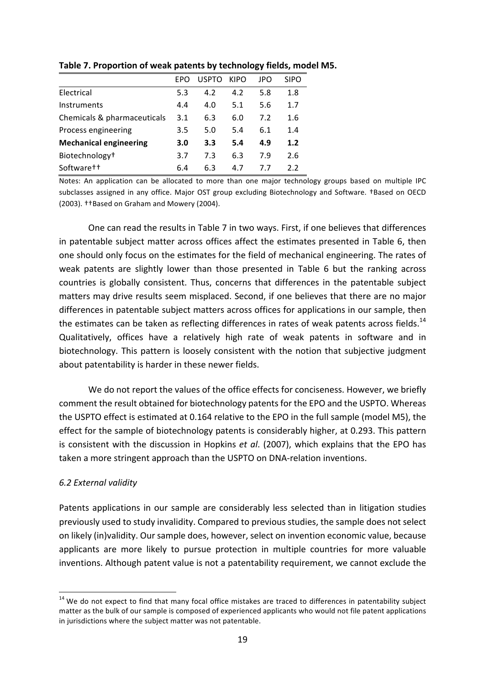|                               | FPO | <b>USPTO</b> | KIPO | JPO | <b>SIPO</b> |
|-------------------------------|-----|--------------|------|-----|-------------|
| Electrical                    | 5.3 | 4.2          | 4.2  | 5.8 | 1.8         |
| Instruments                   | 4.4 | 4.0          | 5.1  | 5.6 | 1.7         |
| Chemicals & pharmaceuticals   | 3.1 | 6.3          | 6.0  | 7.2 | 1.6         |
| Process engineering           | 3.5 | 5.0          | 5.4  | 6.1 | 1.4         |
| <b>Mechanical engineering</b> | 3.0 | 3.3          | 5.4  | 4.9 | 1.2         |
| Biotechnology <sup>+</sup>    | 3.7 | 7.3          | 6.3  | 7.9 | 2.6         |
| Software <sup>†</sup>         | 6.4 | 6.3          | 4.7  | 77  | 2.2         |

Table 7. Proportion of weak patents by technology fields, model M5.

Notes: An application can be allocated to more than one major technology groups based on multiple IPC subclasses assigned in any office. Major OST group excluding Biotechnology and Software. †Based on OECD (2003). ††Based on Graham and Mowery (2004).

One can read the results in Table 7 in two ways. First, if one believes that differences in patentable subject matter across offices affect the estimates presented in Table 6, then one should only focus on the estimates for the field of mechanical engineering. The rates of weak patents are slightly lower than those presented in Table 6 but the ranking across countries is globally consistent. Thus, concerns that differences in the patentable subject matters may drive results seem misplaced. Second, if one believes that there are no major differences in patentable subject matters across offices for applications in our sample, then the estimates can be taken as reflecting differences in rates of weak patents across fields.<sup>14</sup> Qualitatively, offices have a relatively high rate of weak patents in software and in biotechnology. This pattern is loosely consistent with the notion that subjective judgment about patentability is harder in these newer fields.

We do not report the values of the office effects for conciseness. However, we briefly comment the result obtained for biotechnology patents for the EPO and the USPTO. Whereas the USPTO effect is estimated at 0.164 relative to the EPO in the full sample (model M5), the effect for the sample of biotechnology patents is considerably higher, at 0.293. This pattern is consistent with the discussion in Hopkins *et al.* (2007), which explains that the EPO has taken a more stringent approach than the USPTO on DNA-relation inventions.

# *6.2 External validity*

Patents applications in our sample are considerably less selected than in litigation studies previously used to study invalidity. Compared to previous studies, the sample does not select on likely (in)validity. Our sample does, however, select on invention economic value, because applicants are more likely to pursue protection in multiple countries for more valuable inventions. Although patent value is not a patentability requirement, we cannot exclude the

 $14$  We do not expect to find that many focal office mistakes are traced to differences in patentability subject matter as the bulk of our sample is composed of experienced applicants who would not file patent applications in jurisdictions where the subject matter was not patentable.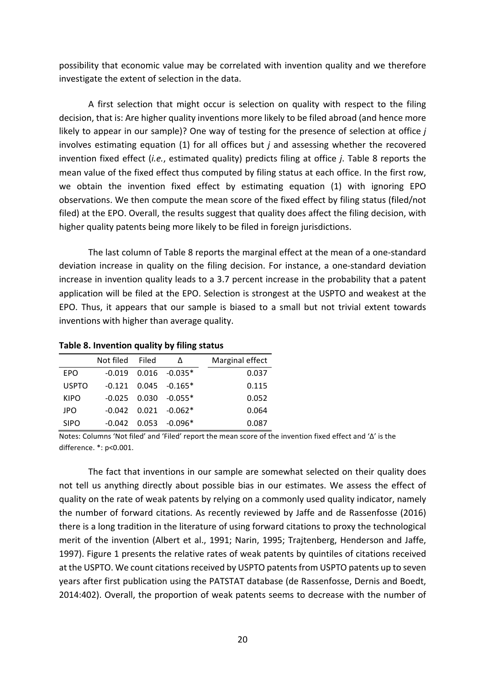possibility that economic value may be correlated with invention quality and we therefore investigate the extent of selection in the data.

A first selection that might occur is selection on quality with respect to the filing decision, that is: Are higher quality inventions more likely to be filed abroad (and hence more likely to appear in our sample)? One way of testing for the presence of selection at office *j* involves estimating equation  $(1)$  for all offices but *j* and assessing whether the recovered invention fixed effect (*i.e.*, estimated quality) predicts filing at office *j*. Table 8 reports the mean value of the fixed effect thus computed by filing status at each office. In the first row, we obtain the invention fixed effect by estimating equation (1) with ignoring EPO observations. We then compute the mean score of the fixed effect by filing status (filed/not filed) at the EPO. Overall, the results suggest that quality does affect the filing decision, with higher quality patents being more likely to be filed in foreign jurisdictions.

The last column of Table 8 reports the marginal effect at the mean of a one-standard deviation increase in quality on the filing decision. For instance, a one-standard deviation increase in invention quality leads to a 3.7 percent increase in the probability that a patent application will be filed at the EPO. Selection is strongest at the USPTO and weakest at the EPO. Thus, it appears that our sample is biased to a small but not trivial extent towards inventions with higher than average quality.

|              | Not filed | Filed | Λ                          | Marginal effect |
|--------------|-----------|-------|----------------------------|-----------------|
| <b>EPO</b>   | $-0.019$  |       | $0.016 - 0.035*$           | 0.037           |
| <b>USPTO</b> | $-0.121$  |       | $0.045 - 0.165*$           | 0.115           |
| KIPO         |           |       | $-0.025$ $0.030$ $-0.055*$ | 0.052           |
| JPO          |           |       | $-0.042$ $0.021$ $-0.062*$ | 0.064           |
| <b>SIPO</b>  | -0.042    |       | $0.053 - 0.096*$           | 0.087           |

Table 8. Invention quality by filing status

Notes: Columns 'Not filed' and 'Filed' report the mean score of the invention fixed effect and ' $\Delta$ ' is the difference. \*: p<0.001.

The fact that inventions in our sample are somewhat selected on their quality does not tell us anything directly about possible bias in our estimates. We assess the effect of quality on the rate of weak patents by relying on a commonly used quality indicator, namely the number of forward citations. As recently reviewed by Jaffe and de Rassenfosse (2016) there is a long tradition in the literature of using forward citations to proxy the technological merit of the invention (Albert et al., 1991; Narin, 1995; Trajtenberg, Henderson and Jaffe, 1997). Figure 1 presents the relative rates of weak patents by quintiles of citations received at the USPTO. We count citations received by USPTO patents from USPTO patents up to seven years after first publication using the PATSTAT database (de Rassenfosse, Dernis and Boedt, 2014:402). Overall, the proportion of weak patents seems to decrease with the number of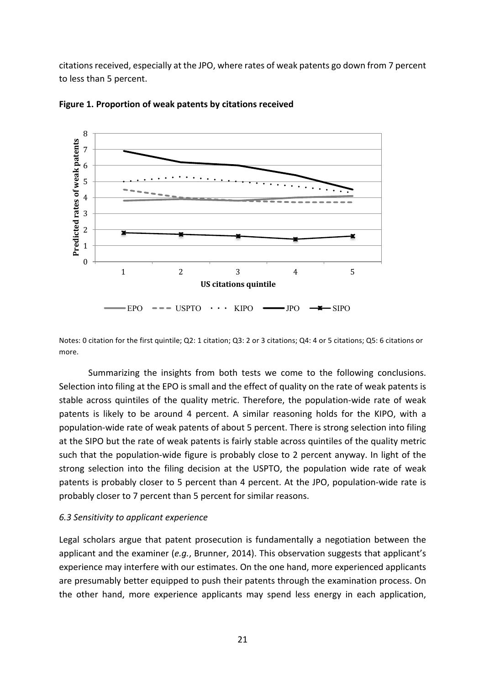citations received, especially at the JPO, where rates of weak patents go down from 7 percent to less than 5 percent.





Notes: 0 citation for the first quintile; Q2: 1 citation; Q3: 2 or 3 citations; Q4: 4 or 5 citations; Q5: 6 citations or more.

Summarizing the insights from both tests we come to the following conclusions. Selection into filing at the EPO is small and the effect of quality on the rate of weak patents is stable across quintiles of the quality metric. Therefore, the population-wide rate of weak patents is likely to be around 4 percent. A similar reasoning holds for the KIPO, with a population-wide rate of weak patents of about 5 percent. There is strong selection into filing at the SIPO but the rate of weak patents is fairly stable across quintiles of the quality metric such that the population-wide figure is probably close to 2 percent anyway. In light of the strong selection into the filing decision at the USPTO, the population wide rate of weak patents is probably closer to 5 percent than 4 percent. At the JPO, population-wide rate is probably closer to 7 percent than 5 percent for similar reasons.

#### *6.3 Sensitivity to applicant experience*

Legal scholars argue that patent prosecution is fundamentally a negotiation between the applicant and the examiner (*e.g.*, Brunner, 2014). This observation suggests that applicant's experience may interfere with our estimates. On the one hand, more experienced applicants are presumably better equipped to push their patents through the examination process. On the other hand, more experience applicants may spend less energy in each application,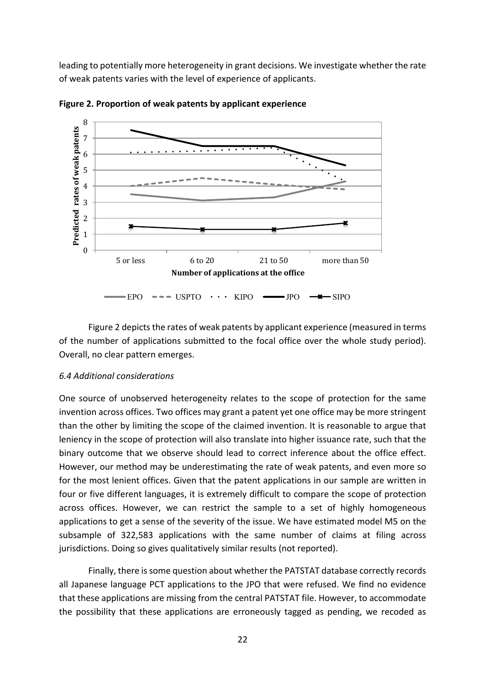leading to potentially more heterogeneity in grant decisions. We investigate whether the rate of weak patents varies with the level of experience of applicants.



**Figure 2. Proportion of weak patents by applicant experience** 

Figure 2 depicts the rates of weak patents by applicant experience (measured in terms of the number of applications submitted to the focal office over the whole study period). Overall, no clear pattern emerges.

#### *6.4 Additional considerations*

One source of unobserved heterogeneity relates to the scope of protection for the same invention across offices. Two offices may grant a patent yet one office may be more stringent than the other by limiting the scope of the claimed invention. It is reasonable to argue that leniency in the scope of protection will also translate into higher issuance rate, such that the binary outcome that we observe should lead to correct inference about the office effect. However, our method may be underestimating the rate of weak patents, and even more so for the most lenient offices. Given that the patent applications in our sample are written in four or five different languages, it is extremely difficult to compare the scope of protection across offices. However, we can restrict the sample to a set of highly homogeneous applications to get a sense of the severity of the issue. We have estimated model M5 on the subsample of 322,583 applications with the same number of claims at filing across jurisdictions. Doing so gives qualitatively similar results (not reported).

Finally, there is some question about whether the PATSTAT database correctly records all Japanese language PCT applications to the JPO that were refused. We find no evidence that these applications are missing from the central PATSTAT file. However, to accommodate the possibility that these applications are erroneously tagged as pending, we recoded as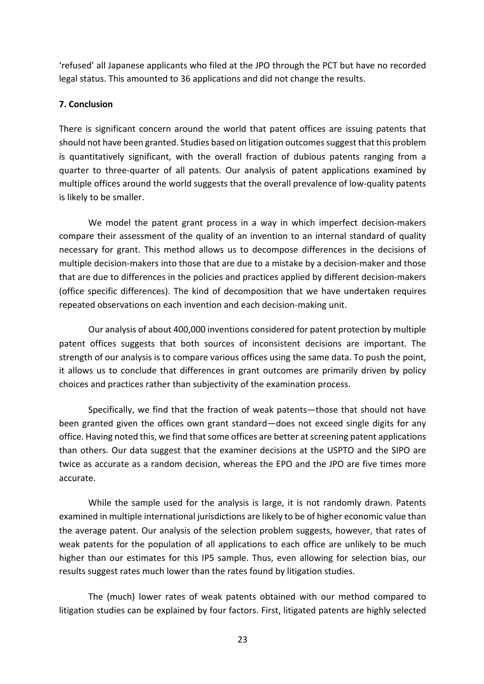'refused' all Japanese applicants who filed at the JPO through the PCT but have no recorded legal status. This amounted to 36 applications and did not change the results.

# **7. Conclusion**

There is significant concern around the world that patent offices are issuing patents that should not have been granted. Studies based on litigation outcomes suggest that this problem is quantitatively significant, with the overall fraction of dubious patents ranging from a quarter to three-quarter of all patents. Our analysis of patent applications examined by multiple offices around the world suggests that the overall prevalence of low-quality patents is likely to be smaller.

We model the patent grant process in a way in which imperfect decision-makers compare their assessment of the quality of an invention to an internal standard of quality necessary for grant. This method allows us to decompose differences in the decisions of multiple decision-makers into those that are due to a mistake by a decision-maker and those that are due to differences in the policies and practices applied by different decision-makers (office specific differences). The kind of decomposition that we have undertaken requires repeated observations on each invention and each decision-making unit.

Our analysis of about 400,000 inventions considered for patent protection by multiple patent offices suggests that both sources of inconsistent decisions are important. The strength of our analysis is to compare various offices using the same data. To push the point, it allows us to conclude that differences in grant outcomes are primarily driven by policy choices and practices rather than subjectivity of the examination process.

Specifically, we find that the fraction of weak patents—those that should not have been granted given the offices own grant standard—does not exceed single digits for any office. Having noted this, we find that some offices are better at screening patent applications than others. Our data suggest that the examiner decisions at the USPTO and the SIPO are twice as accurate as a random decision, whereas the EPO and the JPO are five times more accurate. 

While the sample used for the analysis is large, it is not randomly drawn. Patents examined in multiple international jurisdictions are likely to be of higher economic value than the average patent. Our analysis of the selection problem suggests, however, that rates of weak patents for the population of all applications to each office are unlikely to be much higher than our estimates for this IP5 sample. Thus, even allowing for selection bias, our results suggest rates much lower than the rates found by litigation studies.

The (much) lower rates of weak patents obtained with our method compared to litigation studies can be explained by four factors. First, litigated patents are highly selected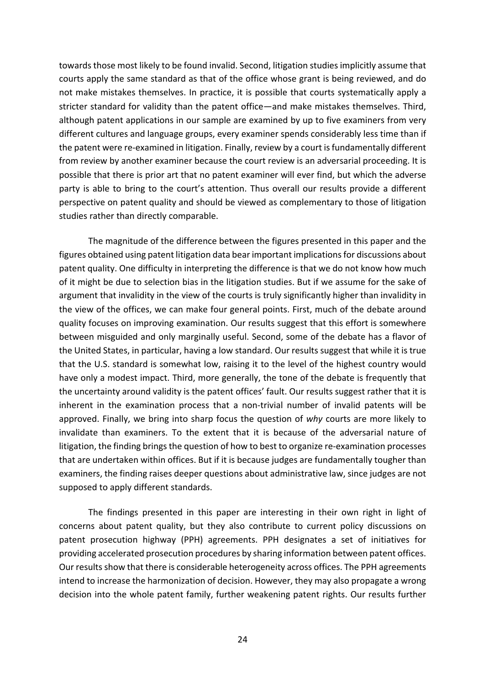towards those most likely to be found invalid. Second, litigation studies implicitly assume that courts apply the same standard as that of the office whose grant is being reviewed, and do not make mistakes themselves. In practice, it is possible that courts systematically apply a stricter standard for validity than the patent office—and make mistakes themselves. Third, although patent applications in our sample are examined by up to five examiners from very different cultures and language groups, every examiner spends considerably less time than if the patent were re-examined in litigation. Finally, review by a court is fundamentally different from review by another examiner because the court review is an adversarial proceeding. It is possible that there is prior art that no patent examiner will ever find, but which the adverse party is able to bring to the court's attention. Thus overall our results provide a different perspective on patent quality and should be viewed as complementary to those of litigation studies rather than directly comparable.

The magnitude of the difference between the figures presented in this paper and the figures obtained using patent litigation data bear important implications for discussions about patent quality. One difficulty in interpreting the difference is that we do not know how much of it might be due to selection bias in the litigation studies. But if we assume for the sake of argument that invalidity in the view of the courts is truly significantly higher than invalidity in the view of the offices, we can make four general points. First, much of the debate around quality focuses on improving examination. Our results suggest that this effort is somewhere between misguided and only marginally useful. Second, some of the debate has a flavor of the United States, in particular, having a low standard. Our results suggest that while it is true that the U.S. standard is somewhat low, raising it to the level of the highest country would have only a modest impact. Third, more generally, the tone of the debate is frequently that the uncertainty around validity is the patent offices' fault. Our results suggest rather that it is inherent in the examination process that a non-trivial number of invalid patents will be approved. Finally, we bring into sharp focus the question of why courts are more likely to invalidate than examiners. To the extent that it is because of the adversarial nature of litigation, the finding brings the question of how to best to organize re-examination processes that are undertaken within offices. But if it is because judges are fundamentally tougher than examiners, the finding raises deeper questions about administrative law, since judges are not supposed to apply different standards.

The findings presented in this paper are interesting in their own right in light of concerns about patent quality, but they also contribute to current policy discussions on patent prosecution highway (PPH) agreements. PPH designates a set of initiatives for providing accelerated prosecution procedures by sharing information between patent offices. Our results show that there is considerable heterogeneity across offices. The PPH agreements intend to increase the harmonization of decision. However, they may also propagate a wrong decision into the whole patent family, further weakening patent rights. Our results further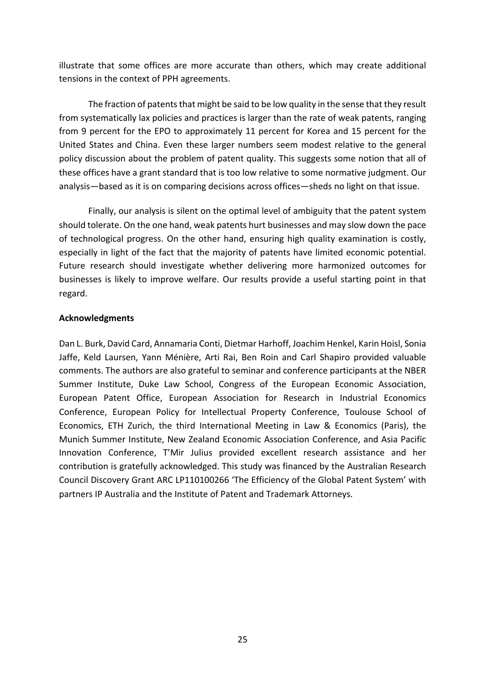illustrate that some offices are more accurate than others, which may create additional tensions in the context of PPH agreements.

The fraction of patents that might be said to be low quality in the sense that they result from systematically lax policies and practices is larger than the rate of weak patents, ranging from 9 percent for the EPO to approximately 11 percent for Korea and 15 percent for the United States and China. Even these larger numbers seem modest relative to the general policy discussion about the problem of patent quality. This suggests some notion that all of these offices have a grant standard that is too low relative to some normative judgment. Our analysis—based as it is on comparing decisions across offices—sheds no light on that issue.

Finally, our analysis is silent on the optimal level of ambiguity that the patent system should tolerate. On the one hand, weak patents hurt businesses and may slow down the pace of technological progress. On the other hand, ensuring high quality examination is costly, especially in light of the fact that the majority of patents have limited economic potential. Future research should investigate whether delivering more harmonized outcomes for businesses is likely to improve welfare. Our results provide a useful starting point in that regard.

# **Acknowledgments**

Dan L. Burk, David Card, Annamaria Conti, Dietmar Harhoff, Joachim Henkel, Karin Hoisl, Sonia Jaffe, Keld Laursen, Yann Ménière, Arti Rai, Ben Roin and Carl Shapiro provided valuable comments. The authors are also grateful to seminar and conference participants at the NBER Summer Institute, Duke Law School, Congress of the European Economic Association, European Patent Office, European Association for Research in Industrial Economics Conference, European Policy for Intellectual Property Conference, Toulouse School of Economics, ETH Zurich, the third International Meeting in Law & Economics (Paris), the Munich Summer Institute, New Zealand Economic Association Conference, and Asia Pacific Innovation Conference, T'Mir Julius provided excellent research assistance and her contribution is gratefully acknowledged. This study was financed by the Australian Research Council Discovery Grant ARC LP110100266 'The Efficiency of the Global Patent System' with partners IP Australia and the Institute of Patent and Trademark Attorneys.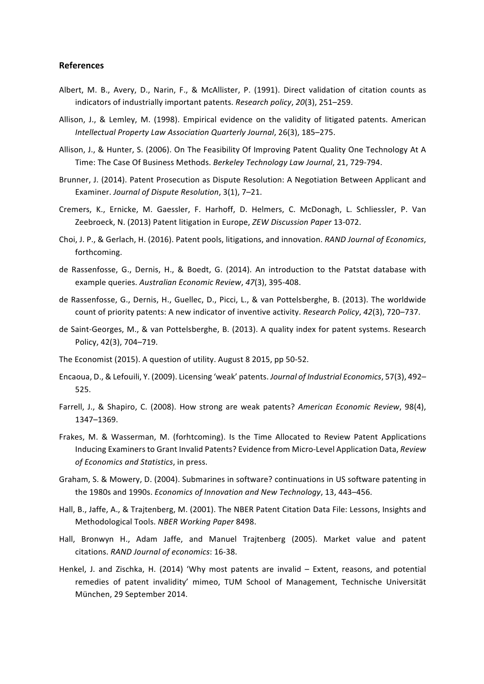#### **References**

- Albert, M. B., Avery, D., Narin, F., & McAllister, P. (1991). Direct validation of citation counts as indicators of industrially important patents. *Research policy*, 20(3), 251–259.
- Allison, J., & Lemley, M. (1998). Empirical evidence on the validity of litigated patents. American *Intellectual Property Law Association Quarterly Journal*, 26(3), 185–275.
- Allison, J., & Hunter, S. (2006). On The Feasibility Of Improving Patent Quality One Technology At A Time: The Case Of Business Methods. Berkeley Technology Law Journal, 21, 729-794.
- Brunner, J. (2014). Patent Prosecution as Dispute Resolution: A Negotiation Between Applicant and Examiner. *Journal of Dispute Resolution*, 3(1), 7-21.
- Cremers, K., Ernicke, M. Gaessler, F. Harhoff, D. Helmers, C. McDonagh, L. Schliessler, P. Van Zeebroeck, N. (2013) Patent litigation in Europe, *ZEW Discussion Paper* 13-072.
- Choi, J. P., & Gerlach, H. (2016). Patent pools, litigations, and innovation. *RAND Journal of Economics*, forthcoming.
- de Rassenfosse, G., Dernis, H., & Boedt, G. (2014). An introduction to the Patstat database with example queries. Australian Economic Review, 47(3), 395-408.
- de Rassenfosse, G., Dernis, H., Guellec, D., Picci, L., & van Pottelsberghe, B. (2013). The worldwide count of priority patents: A new indicator of inventive activity. *Research Policy, 42*(3), 720–737.
- de Saint-Georges, M., & van Pottelsberghe, B. (2013). A quality index for patent systems. Research Policy, 42(3), 704–719.
- The Economist (2015). A question of utility. August 8 2015, pp 50-52.
- Encaoua, D., & Lefouili, Y. (2009). Licensing 'weak' patents. *Journal of Industrial Economics*, 57(3), 492-525.
- Farrell, J., & Shapiro, C. (2008). How strong are weak patents? American Economic Review, 98(4), 1347–1369.
- Frakes, M. & Wasserman, M. (forhtcoming). Is the Time Allocated to Review Patent Applications Inducing Examiners to Grant Invalid Patents? Evidence from Micro-Level Application Data, *Review of Economics and Statistics*, in press.
- Graham, S. & Mowery, D. (2004). Submarines in software? continuations in US software patenting in the 1980s and 1990s. *Economics of Innovation and New Technology*, 13, 443–456.
- Hall, B., Jaffe, A., & Trajtenberg, M. (2001). The NBER Patent Citation Data File: Lessons, Insights and Methodological Tools. *NBER Working Paper* 8498.
- Hall, Bronwyn H., Adam Jaffe, and Manuel Trajtenberg (2005). Market value and patent citations. *RAND Journal of economics*: 16-38.
- Henkel, J. and Zischka, H. (2014) 'Why most patents are invalid Extent, reasons, and potential remedies of patent invalidity' mimeo, TUM School of Management, Technische Universität München, 29 September 2014.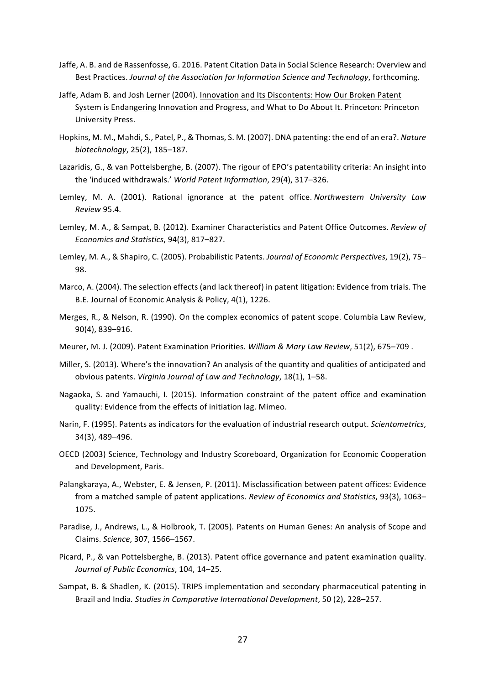- Jaffe, A. B. and de Rassenfosse, G. 2016. Patent Citation Data in Social Science Research: Overview and Best Practices. *Journal of the Association for Information Science and Technology*, forthcoming.
- Jaffe, Adam B. and Josh Lerner (2004). Innovation and Its Discontents: How Our Broken Patent System is Endangering Innovation and Progress, and What to Do About It. Princeton: Princeton University Press.
- Hopkins, M. M., Mahdi, S., Patel, P., & Thomas, S. M. (2007). DNA patenting: the end of an era?. Nature *biotechnology*, 25(2), 185–187.
- Lazaridis, G., & van Pottelsberghe, B. (2007). The rigour of EPO's patentability criteria: An insight into the 'induced withdrawals.' World Patent Information, 29(4), 317-326.
- Lemley, M. A. (2001). Rational ignorance at the patent office. *Northwestern University Law Review* 95.4.
- Lemley, M. A., & Sampat, B. (2012). Examiner Characteristics and Patent Office Outcomes. Review of *Economics and Statistics*, 94(3), 817–827.
- Lemley, M. A., & Shapiro, C. (2005). Probabilistic Patents. *Journal of Economic Perspectives*, 19(2), 75– 98.
- Marco, A. (2004). The selection effects (and lack thereof) in patent litigation: Evidence from trials. The B.E. Journal of Economic Analysis & Policy, 4(1), 1226.
- Merges, R., & Nelson, R. (1990). On the complex economics of patent scope. Columbia Law Review, 90(4), 839–916.
- Meurer, M. J. (2009). Patent Examination Priorities. William & Mary Law Review, 51(2), 675–709.
- Miller, S. (2013). Where's the innovation? An analysis of the quantity and qualities of anticipated and obvious patents. Virginia Journal of Law and Technology, 18(1), 1-58.
- Nagaoka, S. and Yamauchi, I. (2015). Information constraint of the patent office and examination quality: Evidence from the effects of initiation lag. Mimeo.
- Narin, F. (1995). Patents as indicators for the evaluation of industrial research output. *Scientometrics*, 34(3), 489-496.
- OECD (2003) Science, Technology and Industry Scoreboard, Organization for Economic Cooperation and Development, Paris.
- Palangkaraya, A., Webster, E. & Jensen, P. (2011). Misclassification between patent offices: Evidence from a matched sample of patent applications. *Review of Economics and Statistics*, 93(3), 1063– 1075.
- Paradise, J., Andrews, L., & Holbrook, T. (2005). Patents on Human Genes: An analysis of Scope and Claims. *Science*, 307, 1566–1567.
- Picard, P., & van Pottelsberghe, B. (2013). Patent office governance and patent examination quality. Journal of Public Economics, 104, 14-25.
- Sampat, B. & Shadlen, K. (2015). TRIPS implementation and secondary pharmaceutical patenting in Brazil and India. Studies in Comparative International Development, 50 (2), 228–257.